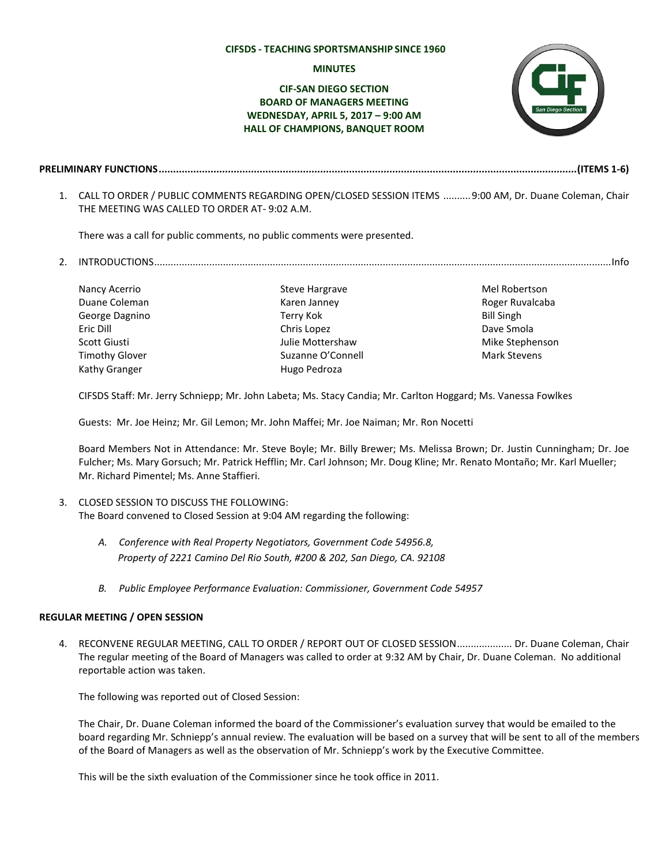### **CIFSDS - TEACHING SPORTSMANSHIP SINCE 1960**

#### **MINUTES**

# **CIF-SAN DIEGO SECTION BOARD OF MANAGERS MEETING WEDNESDAY, APRIL 5, 2017 – 9:00 AM HALL OF CHAMPIONS, BANQUET ROOM**



- **PRELIMINARY FUNCTIONS.................................................................................................................................................(ITEMS 1-6)**
	- 1. CALL TO ORDER / PUBLIC COMMENTS REGARDING OPEN/CLOSED SESSION ITEMS ..........9:00 AM, Dr. Duane Coleman, Chair THE MEETING WAS CALLED TO ORDER AT- 9:02 A.M.

There was a call for public comments, no public comments were presented.

2. INTRODUCTIONS......................................................................................................................................................................Info

Nancy Acerrio Duane Coleman George Dagnino Eric Dill Scott Giusti Timothy Glover Kathy Granger

Steve Hargrave Karen Janney Terry Kok Chris Lopez Julie Mottershaw Suzanne O'Connell Hugo Pedroza

Mel Robertson Roger Ruvalcaba Bill Singh Dave Smola Mike Stephenson Mark Stevens

CIFSDS Staff: Mr. Jerry Schniepp; Mr. John Labeta; Ms. Stacy Candia; Mr. Carlton Hoggard; Ms. Vanessa Fowlkes

Guests: Mr. Joe Heinz; Mr. Gil Lemon; Mr. John Maffei; Mr. Joe Naiman; Mr. Ron Nocetti

Board Members Not in Attendance: Mr. Steve Boyle; Mr. Billy Brewer; Ms. Melissa Brown; Dr. Justin Cunningham; Dr. Joe Fulcher; Ms. Mary Gorsuch; Mr. Patrick Hefflin; Mr. Carl Johnson; Mr. Doug Kline; Mr. Renato Montaño; Mr. Karl Mueller; Mr. Richard Pimentel; Ms. Anne Staffieri.

## 3. CLOSED SESSION TO DISCUSS THE FOLLOWING: The Board convened to Closed Session at 9:04 AM regarding the following:

- *A. Conference with Real Property Negotiators, Government Code 54956.8, Property of 2221 Camino Del Rio South, #200 & 202, San Diego, CA. 92108*
- *B. Public Employee Performance Evaluation: Commissioner, Government Code 54957*

# **REGULAR MEETING / OPEN SESSION**

4. RECONVENE REGULAR MEETING, CALL TO ORDER / REPORT OUT OF CLOSED SESSION.................... Dr. Duane Coleman, Chair The regular meeting of the Board of Managers was called to order at 9:32 AM by Chair, Dr. Duane Coleman. No additional reportable action was taken.

The following was reported out of Closed Session:

The Chair, Dr. Duane Coleman informed the board of the Commissioner's evaluation survey that would be emailed to the board regarding Mr. Schniepp's annual review. The evaluation will be based on a survey that will be sent to all of the members of the Board of Managers as well as the observation of Mr. Schniepp's work by the Executive Committee.

This will be the sixth evaluation of the Commissioner since he took office in 2011.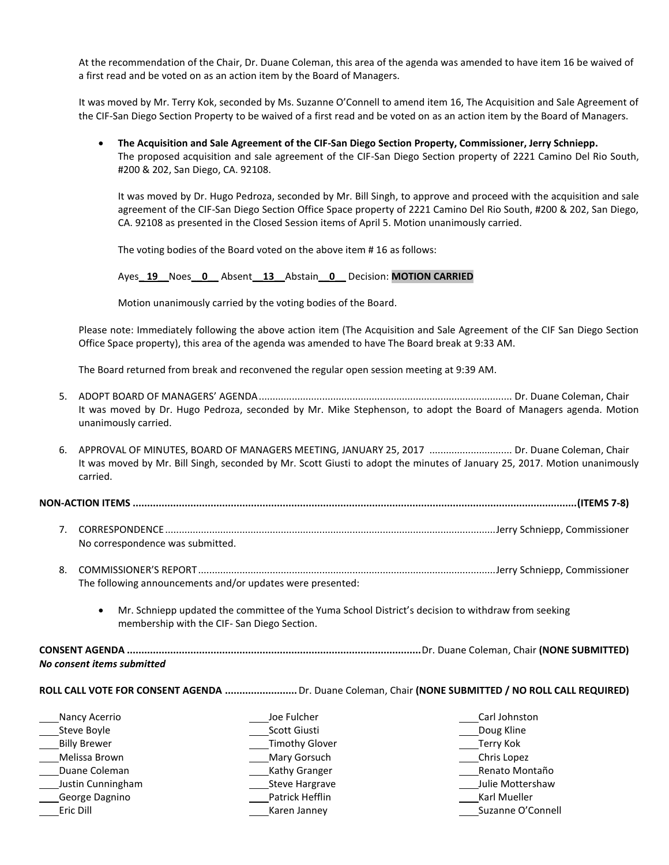At the recommendation of the Chair, Dr. Duane Coleman, this area of the agenda was amended to have item 16 be waived of a first read and be voted on as an action item by the Board of Managers.

 It was moved by Mr. Terry Kok, seconded by Ms. Suzanne O'Connell to amend item 16, The Acquisition and Sale Agreement of the CIF-San Diego Section Property to be waived of a first read and be voted on as an action item by the Board of Managers.

 **The Acquisition and Sale Agreement of the CIF-San Diego Section Property, Commissioner, Jerry Schniepp.** The proposed acquisition and sale agreement of the CIF-San Diego Section property of 2221 Camino Del Rio South, #200 & 202, San Diego, CA. 92108.

It was moved by Dr. Hugo Pedroza, seconded by Mr. Bill Singh, to approve and proceed with the acquisition and sale agreement of the CIF-San Diego Section Office Space property of 2221 Camino Del Rio South, #200 & 202, San Diego, CA. 92108 as presented in the Closed Session items of April 5. Motion unanimously carried.

The voting bodies of the Board voted on the above item # 16 as follows:

Ayes**\_ 19\_\_**Noes**\_\_0\_\_** Absent**\_\_13\_\_**Abstain**\_\_0\_\_** Decision: **MOTION CARRIED**

Motion unanimously carried by the voting bodies of the Board.

Please note: Immediately following the above action item (The Acquisition and Sale Agreement of the CIF San Diego Section Office Space property), this area of the agenda was amended to have The Board break at 9:33 AM.

The Board returned from break and reconvened the regular open session meeting at 9:39 AM.

- 5. ADOPT BOARD OF MANAGERS' AGENDA............................................................................................ Dr. Duane Coleman, Chair It was moved by Dr. Hugo Pedroza, seconded by Mr. Mike Stephenson, to adopt the Board of Managers agenda. Motion unanimously carried.
- 6. APPROVAL OF MINUTES, BOARD OF MANAGERS MEETING, JANUARY 25, 2017 ............................. Dr. Duane Coleman, Chair It was moved by Mr. Bill Singh, seconded by Mr. Scott Giusti to adopt the minutes of January 25, 2017. Motion unanimously carried.

**NON-ACTION ITEMS ..........................................................................................................................................................(ITEMS 7-8)**

- 7. CORRESPONDENCE........................................................................................................................Jerry Schniepp, Commissioner No correspondence was submitted.
- 8. COMMISSIONER'S REPORT............................................................................................................Jerry Schniepp, Commissioner The following announcements and/or updates were presented:
	- Mr. Schniepp updated the committee of the Yuma School District's decision to withdraw from seeking membership with the CIF- San Diego Section.

**CONSENT AGENDA ......................................................................................................**Dr. Duane Coleman, Chair **(NONE SUBMITTED)** *No consent items submitted*

**ROLL CALL VOTE FOR CONSENT AGENDA .........................**Dr. Duane Coleman, Chair **(NONE SUBMITTED / NO ROLL CALL REQUIRED)** 

| Nancy Acerrio       | Joe Fulcher           | Carl Johnston     |
|---------------------|-----------------------|-------------------|
| Steve Boyle         | Scott Giusti          | Doug Kline        |
| <b>Billy Brewer</b> | Timothy Glover        | _Terry Kok        |
| Melissa Brown       | Mary Gorsuch          | Chris Lopez       |
| Duane Coleman       | <b>Kathy Granger</b>  | Renato Montaño    |
| Justin Cunningham   | <b>Steve Hargrave</b> | Julie Mottershaw  |
| George Dagnino      | Patrick Hefflin       | Karl Mueller      |
| Eric Dill           | Karen Janney          | Suzanne O'Connell |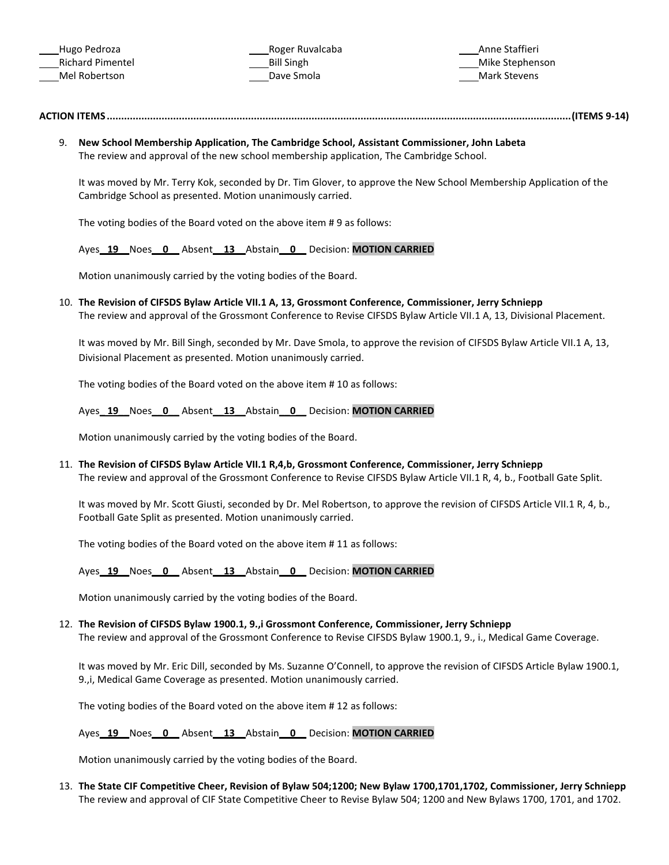Roger Ruvalcaba Bill Singh Dave Smola

Anne Staffieri Mike Stephenson Mark Stevens

# **ACTION ITEMS.................................................................................................................................................................(ITEMS 9-14)**

9. **New School Membership Application, The Cambridge School, Assistant Commissioner, John Labeta** The review and approval of the new school membership application, The Cambridge School.

It was moved by Mr. Terry Kok, seconded by Dr. Tim Glover, to approve the New School Membership Application of the Cambridge School as presented. Motion unanimously carried.

The voting bodies of the Board voted on the above item # 9 as follows:

Ayes**\_ 19\_\_**Noes**\_\_0\_\_** Absent**\_\_13\_\_**Abstain**\_\_0\_\_** Decision: **MOTION CARRIED**

Motion unanimously carried by the voting bodies of the Board.

10. **The Revision of CIFSDS Bylaw Article VII.1 A, 13, Grossmont Conference, Commissioner, Jerry Schniepp** The review and approval of the Grossmont Conference to Revise CIFSDS Bylaw Article VII.1 A, 13, Divisional Placement.

It was moved by Mr. Bill Singh, seconded by Mr. Dave Smola, to approve the revision of CIFSDS Bylaw Article VII.1 A, 13, Divisional Placement as presented. Motion unanimously carried.

The voting bodies of the Board voted on the above item # 10 as follows:

Ayes**\_ 19\_\_**Noes**\_\_0\_\_** Absent**\_\_13\_\_**Abstain**\_\_0\_\_** Decision: **MOTION CARRIED**

Motion unanimously carried by the voting bodies of the Board.

11. **The Revision of CIFSDS Bylaw Article VII.1 R,4,b, Grossmont Conference, Commissioner, Jerry Schniepp** The review and approval of the Grossmont Conference to Revise CIFSDS Bylaw Article VII.1 R, 4, b., Football Gate Split.

It was moved by Mr. Scott Giusti, seconded by Dr. Mel Robertson, to approve the revision of CIFSDS Article VII.1 R, 4, b., Football Gate Split as presented. Motion unanimously carried.

The voting bodies of the Board voted on the above item # 11 as follows:

Ayes**\_ 19\_\_**Noes**\_\_0\_\_** Absent**\_\_13\_\_**Abstain**\_\_0\_\_** Decision: **MOTION CARRIED**

Motion unanimously carried by the voting bodies of the Board.

12. **The Revision of CIFSDS Bylaw 1900.1, 9.,i Grossmont Conference, Commissioner, Jerry Schniepp**

The review and approval of the Grossmont Conference to Revise CIFSDS Bylaw 1900.1, 9., i., Medical Game Coverage.

It was moved by Mr. Eric Dill, seconded by Ms. Suzanne O'Connell, to approve the revision of CIFSDS Article Bylaw 1900.1, 9.,i, Medical Game Coverage as presented. Motion unanimously carried.

The voting bodies of the Board voted on the above item # 12 as follows:

Ayes**\_ 19\_\_**Noes**\_\_0\_\_** Absent**\_\_13\_\_**Abstain**\_\_0\_\_** Decision: **MOTION CARRIED**

Motion unanimously carried by the voting bodies of the Board.

13. **The State CIF Competitive Cheer, Revision of Bylaw 504;1200; New Bylaw 1700,1701,1702, Commissioner, Jerry Schniepp** The review and approval of CIF State Competitive Cheer to Revise Bylaw 504; 1200 and New Bylaws 1700, 1701, and 1702.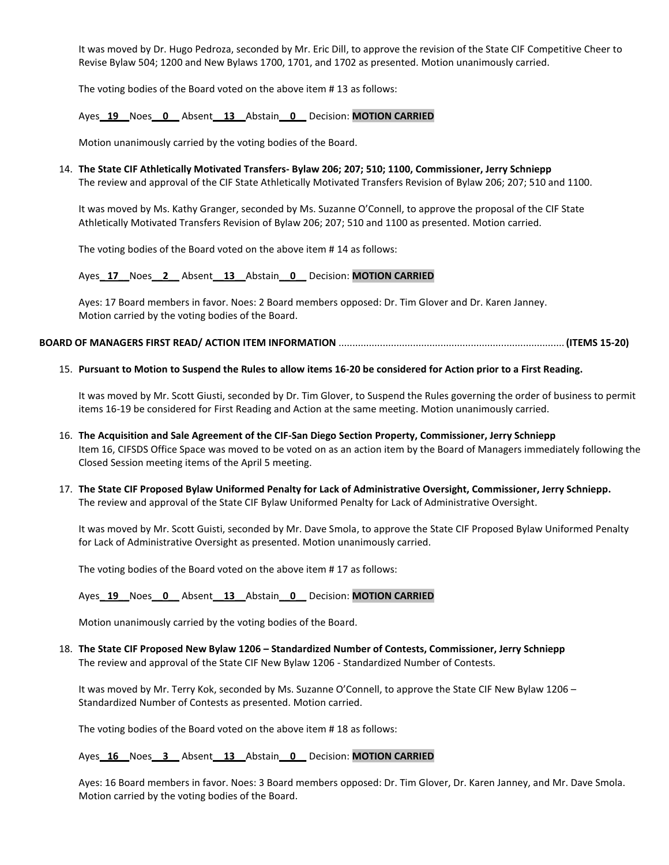It was moved by Dr. Hugo Pedroza, seconded by Mr. Eric Dill, to approve the revision of the State CIF Competitive Cheer to Revise Bylaw 504; 1200 and New Bylaws 1700, 1701, and 1702 as presented. Motion unanimously carried.

The voting bodies of the Board voted on the above item # 13 as follows:

Ayes**\_ 19\_\_**Noes**\_\_0\_\_** Absent**\_\_13\_\_**Abstain**\_\_0\_\_** Decision: **MOTION CARRIED**

Motion unanimously carried by the voting bodies of the Board.

#### 14. **The State CIF Athletically Motivated Transfers- Bylaw 206; 207; 510; 1100, Commissioner, Jerry Schniepp**

The review and approval of the CIF State Athletically Motivated Transfers Revision of Bylaw 206; 207; 510 and 1100.

It was moved by Ms. Kathy Granger, seconded by Ms. Suzanne O'Connell, to approve the proposal of the CIF State Athletically Motivated Transfers Revision of Bylaw 206; 207; 510 and 1100 as presented. Motion carried.

The voting bodies of the Board voted on the above item # 14 as follows:

Ayes**\_ 17\_\_**Noes**\_\_2\_\_** Absent**\_\_13\_\_**Abstain**\_\_0\_\_** Decision: **MOTION CARRIED**

Ayes: 17 Board members in favor. Noes: 2 Board members opposed: Dr. Tim Glover and Dr. Karen Janney. Motion carried by the voting bodies of the Board.

### **BOARD OF MANAGERS FIRST READ/ ACTION ITEM INFORMATION** .................................................................................. **(ITEMS 15-20)**

### 15. **Pursuant to Motion to Suspend the Rules to allow items 16-20 be considered for Action prior to a First Reading.**

It was moved by Mr. Scott Giusti, seconded by Dr. Tim Glover, to Suspend the Rules governing the order of business to permit items 16-19 be considered for First Reading and Action at the same meeting. Motion unanimously carried.

- 16. **The Acquisition and Sale Agreement of the CIF-San Diego Section Property, Commissioner, Jerry Schniepp** Item 16, CIFSDS Office Space was moved to be voted on as an action item by the Board of Managers immediately following the Closed Session meeting items of the April 5 meeting.
- 17. **The State CIF Proposed Bylaw Uniformed Penalty for Lack of Administrative Oversight, Commissioner, Jerry Schniepp.** The review and approval of the State CIF Bylaw Uniformed Penalty for Lack of Administrative Oversight.

It was moved by Mr. Scott Guisti, seconded by Mr. Dave Smola, to approve the State CIF Proposed Bylaw Uniformed Penalty for Lack of Administrative Oversight as presented. Motion unanimously carried.

The voting bodies of the Board voted on the above item # 17 as follows:

### Ayes**\_ 19\_\_**Noes**\_\_0\_\_** Absent**\_\_13\_\_**Abstain**\_\_0\_\_** Decision: **MOTION CARRIED**

Motion unanimously carried by the voting bodies of the Board.

18. **The State CIF Proposed New Bylaw 1206 – Standardized Number of Contests, Commissioner, Jerry Schniepp** The review and approval of the State CIF New Bylaw 1206 - Standardized Number of Contests.

It was moved by Mr. Terry Kok, seconded by Ms. Suzanne O'Connell, to approve the State CIF New Bylaw 1206 – Standardized Number of Contests as presented. Motion carried.

The voting bodies of the Board voted on the above item # 18 as follows:

## Ayes**\_ 16\_\_**Noes**\_\_3\_\_** Absent**\_\_13\_\_**Abstain**\_\_0\_\_** Decision: **MOTION CARRIED**

Ayes: 16 Board members in favor. Noes: 3 Board members opposed: Dr. Tim Glover, Dr. Karen Janney, and Mr. Dave Smola. Motion carried by the voting bodies of the Board.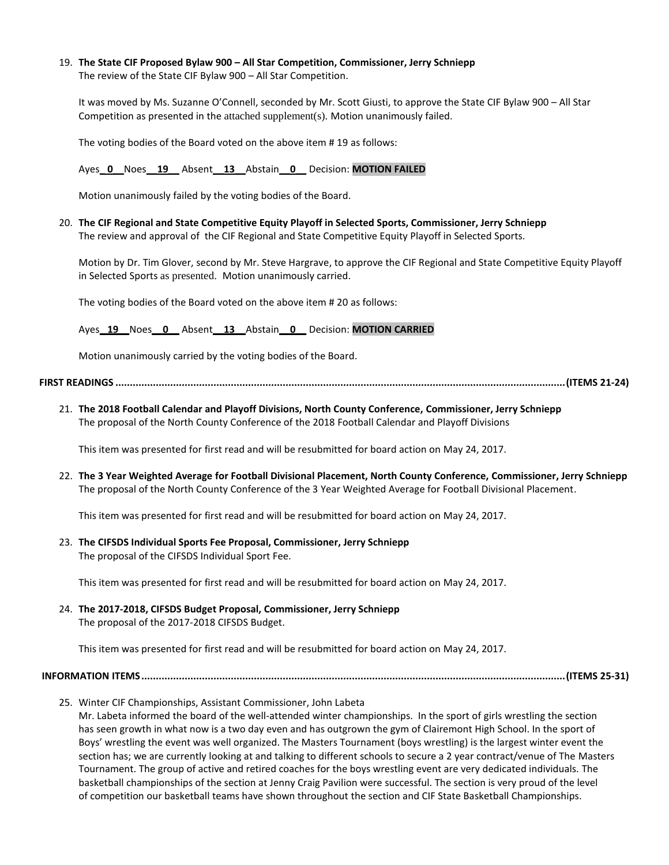19. **The State CIF Proposed Bylaw 900 – All Star Competition, Commissioner, Jerry Schniepp** The review of the State CIF Bylaw 900 – All Star Competition.

It was moved by Ms. Suzanne O'Connell, seconded by Mr. Scott Giusti, to approve the State CIF Bylaw 900 – All Star Competition as presented in the attached supplement(s). Motion unanimously failed.

The voting bodies of the Board voted on the above item # 19 as follows:

Ayes**\_ 0\_\_**Noes**\_\_19\_\_** Absent**\_\_13\_\_**Abstain**\_\_0\_\_** Decision: **MOTION FAILED**

Motion unanimously failed by the voting bodies of the Board.

20. **The CIF Regional and State Competitive Equity Playoff in Selected Sports, Commissioner, Jerry Schniepp** The review and approval of the CIF Regional and State Competitive Equity Playoff in Selected Sports.

Motion by Dr. Tim Glover, second by Mr. Steve Hargrave, to approve the CIF Regional and State Competitive Equity Playoff in Selected Sports as presented. Motion unanimously carried.

The voting bodies of the Board voted on the above item # 20 as follows:

Ayes**\_ 19\_\_**Noes**\_\_0\_\_** Absent**\_\_13\_\_**Abstain**\_\_0\_\_** Decision: **MOTION CARRIED**

Motion unanimously carried by the voting bodies of the Board.

### **FIRST READINGS ............................................................................................................................................................(ITEMS 21-24)**

21. **The 2018 Football Calendar and Playoff Divisions, North County Conference, Commissioner, Jerry Schniepp** The proposal of the North County Conference of the 2018 Football Calendar and Playoff Divisions

This item was presented for first read and will be resubmitted for board action on May 24, 2017.

22. **The 3 Year Weighted Average for Football Divisional Placement, North County Conference, Commissioner, Jerry Schniepp** The proposal of the North County Conference of the 3 Year Weighted Average for Football Divisional Placement.

This item was presented for first read and will be resubmitted for board action on May 24, 2017.

23. **The CIFSDS Individual Sports Fee Proposal, Commissioner, Jerry Schniepp** The proposal of the CIFSDS Individual Sport Fee.

This item was presented for first read and will be resubmitted for board action on May 24, 2017.

24. **The 2017-2018, CIFSDS Budget Proposal, Commissioner, Jerry Schniepp** The proposal of the 2017-2018 CIFSDS Budget.

This item was presented for first read and will be resubmitted for board action on May 24, 2017.

**INFORMATION ITEMS...................................................................................................................................................(ITEMS 25-31)**

25. Winter CIF Championships, Assistant Commissioner, John Labeta

Mr. Labeta informed the board of the well-attended winter championships. In the sport of girls wrestling the section has seen growth in what now is a two day even and has outgrown the gym of Clairemont High School. In the sport of Boys' wrestling the event was well organized. The Masters Tournament (boys wrestling) is the largest winter event the section has; we are currently looking at and talking to different schools to secure a 2 year contract/venue of The Masters Tournament. The group of active and retired coaches for the boys wrestling event are very dedicated individuals. The basketball championships of the section at Jenny Craig Pavilion were successful. The section is very proud of the level of competition our basketball teams have shown throughout the section and CIF State Basketball Championships.